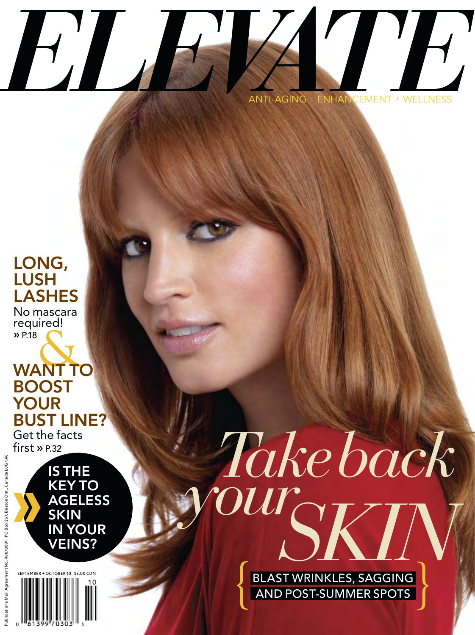

# LONG, LUSH LASHES No mascara required! � P.18

**WANT TO** BOOST YOUR BUST LINE?

Get the facts  $first \times P.32$ 



 $$500$  CDN

# *Take back*  $\overline{OUT_{\cap II}}$

BLAST WRINKLES, SAGGING **{** AND POST-SUMMER SPOTS **}**